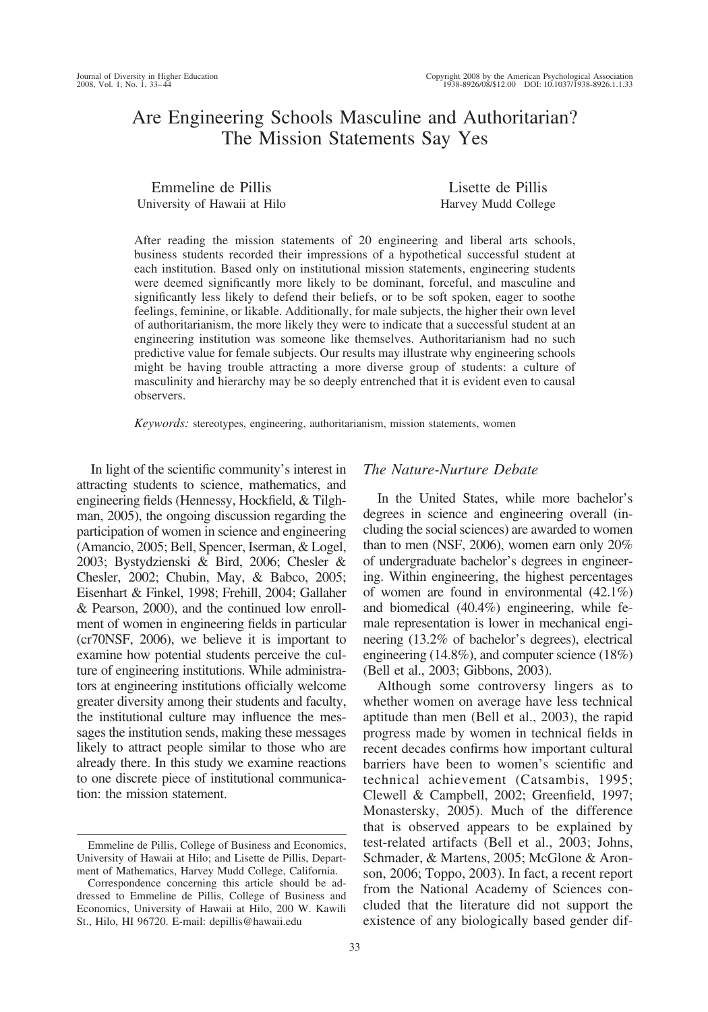# Are Engineering Schools Masculine and Authoritarian? The Mission Statements Say Yes

| Emmeline de Pillis           | Lisette de Pillis   |
|------------------------------|---------------------|
| University of Hawaii at Hilo | Harvey Mudd College |

After reading the mission statements of 20 engineering and liberal arts schools, business students recorded their impressions of a hypothetical successful student at each institution. Based only on institutional mission statements, engineering students were deemed significantly more likely to be dominant, forceful, and masculine and significantly less likely to defend their beliefs, or to be soft spoken, eager to soothe feelings, feminine, or likable. Additionally, for male subjects, the higher their own level of authoritarianism, the more likely they were to indicate that a successful student at an engineering institution was someone like themselves. Authoritarianism had no such predictive value for female subjects. Our results may illustrate why engineering schools might be having trouble attracting a more diverse group of students: a culture of masculinity and hierarchy may be so deeply entrenched that it is evident even to causal observers.

*Keywords:* stereotypes, engineering, authoritarianism, mission statements, women

In light of the scientific community's interest in attracting students to science, mathematics, and engineering fields (Hennessy, Hockfield, & Tilghman, 2005), the ongoing discussion regarding the participation of women in science and engineering (Amancio, 2005; Bell, Spencer, Iserman, & Logel, 2003; Bystydzienski & Bird, 2006; Chesler & Chesler, 2002; Chubin, May, & Babco, 2005; Eisenhart & Finkel, 1998; Frehill, 2004; Gallaher & Pearson, 2000), and the continued low enrollment of women in engineering fields in particular (cr70NSF, 2006), we believe it is important to examine how potential students perceive the culture of engineering institutions. While administrators at engineering institutions officially welcome greater diversity among their students and faculty, the institutional culture may influence the messages the institution sends, making these messages likely to attract people similar to those who are already there. In this study we examine reactions to one discrete piece of institutional communication: the mission statement.

## *The Nature-Nurture Debate*

In the United States, while more bachelor's degrees in science and engineering overall (including the social sciences) are awarded to women than to men (NSF, 2006), women earn only 20% of undergraduate bachelor's degrees in engineering. Within engineering, the highest percentages of women are found in environmental (42.1%) and biomedical (40.4%) engineering, while female representation is lower in mechanical engineering (13.2% of bachelor's degrees), electrical engineering (14.8%), and computer science (18%) (Bell et al., 2003; Gibbons, 2003).

Although some controversy lingers as to whether women on average have less technical aptitude than men (Bell et al., 2003), the rapid progress made by women in technical fields in recent decades confirms how important cultural barriers have been to women's scientific and technical achievement (Catsambis, 1995; Clewell & Campbell, 2002; Greenfield, 1997; Monastersky, 2005). Much of the difference that is observed appears to be explained by test-related artifacts (Bell et al., 2003; Johns, Schmader, & Martens, 2005; McGlone & Aronson, 2006; Toppo, 2003). In fact, a recent report from the National Academy of Sciences concluded that the literature did not support the existence of any biologically based gender dif-

Emmeline de Pillis, College of Business and Economics, University of Hawaii at Hilo; and Lisette de Pillis, Department of Mathematics, Harvey Mudd College, California.

Correspondence concerning this article should be addressed to Emmeline de Pillis, College of Business and Economics, University of Hawaii at Hilo, 200 W. Kawili St., Hilo, HI 96720. E-mail: depillis@hawaii.edu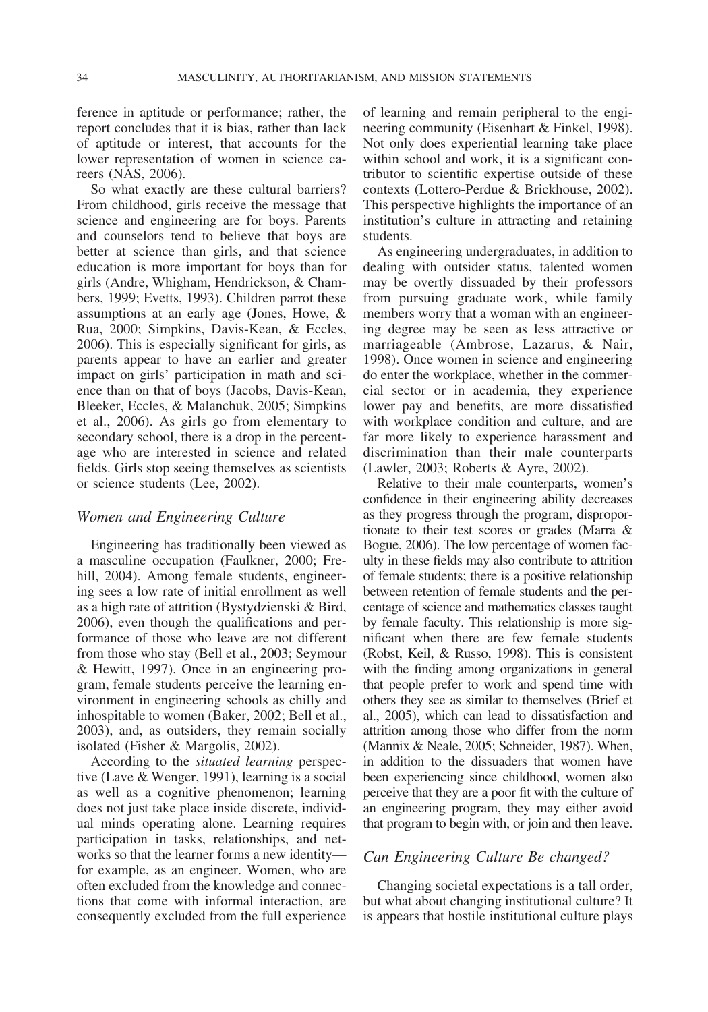ference in aptitude or performance; rather, the report concludes that it is bias, rather than lack of aptitude or interest, that accounts for the lower representation of women in science careers (NAS, 2006).

So what exactly are these cultural barriers? From childhood, girls receive the message that science and engineering are for boys. Parents and counselors tend to believe that boys are better at science than girls, and that science education is more important for boys than for girls (Andre, Whigham, Hendrickson, & Chambers, 1999; Evetts, 1993). Children parrot these assumptions at an early age (Jones, Howe, & Rua, 2000; Simpkins, Davis-Kean, & Eccles, 2006). This is especially significant for girls, as parents appear to have an earlier and greater impact on girls' participation in math and science than on that of boys (Jacobs, Davis-Kean, Bleeker, Eccles, & Malanchuk, 2005; Simpkins et al., 2006). As girls go from elementary to secondary school, there is a drop in the percentage who are interested in science and related fields. Girls stop seeing themselves as scientists or science students (Lee, 2002).

# *Women and Engineering Culture*

Engineering has traditionally been viewed as a masculine occupation (Faulkner, 2000; Frehill, 2004). Among female students, engineering sees a low rate of initial enrollment as well as a high rate of attrition (Bystydzienski & Bird, 2006), even though the qualifications and performance of those who leave are not different from those who stay (Bell et al., 2003; Seymour & Hewitt, 1997). Once in an engineering program, female students perceive the learning environment in engineering schools as chilly and inhospitable to women (Baker, 2002; Bell et al., 2003), and, as outsiders, they remain socially isolated (Fisher & Margolis, 2002).

According to the *situated learning* perspective (Lave & Wenger, 1991), learning is a social as well as a cognitive phenomenon; learning does not just take place inside discrete, individual minds operating alone. Learning requires participation in tasks, relationships, and networks so that the learner forms a new identity for example, as an engineer. Women, who are often excluded from the knowledge and connections that come with informal interaction, are consequently excluded from the full experience

of learning and remain peripheral to the engineering community (Eisenhart & Finkel, 1998). Not only does experiential learning take place within school and work, it is a significant contributor to scientific expertise outside of these contexts (Lottero-Perdue & Brickhouse, 2002). This perspective highlights the importance of an institution's culture in attracting and retaining students.

As engineering undergraduates, in addition to dealing with outsider status, talented women may be overtly dissuaded by their professors from pursuing graduate work, while family members worry that a woman with an engineering degree may be seen as less attractive or marriageable (Ambrose, Lazarus, & Nair, 1998). Once women in science and engineering do enter the workplace, whether in the commercial sector or in academia, they experience lower pay and benefits, are more dissatisfied with workplace condition and culture, and are far more likely to experience harassment and discrimination than their male counterparts (Lawler, 2003; Roberts & Ayre, 2002).

Relative to their male counterparts, women's confidence in their engineering ability decreases as they progress through the program, disproportionate to their test scores or grades (Marra & Bogue, 2006). The low percentage of women faculty in these fields may also contribute to attrition of female students; there is a positive relationship between retention of female students and the percentage of science and mathematics classes taught by female faculty. This relationship is more significant when there are few female students (Robst, Keil, & Russo, 1998). This is consistent with the finding among organizations in general that people prefer to work and spend time with others they see as similar to themselves (Brief et al., 2005), which can lead to dissatisfaction and attrition among those who differ from the norm (Mannix & Neale, 2005; Schneider, 1987). When, in addition to the dissuaders that women have been experiencing since childhood, women also perceive that they are a poor fit with the culture of an engineering program, they may either avoid that program to begin with, or join and then leave.

# *Can Engineering Culture Be changed?*

Changing societal expectations is a tall order, but what about changing institutional culture? It is appears that hostile institutional culture plays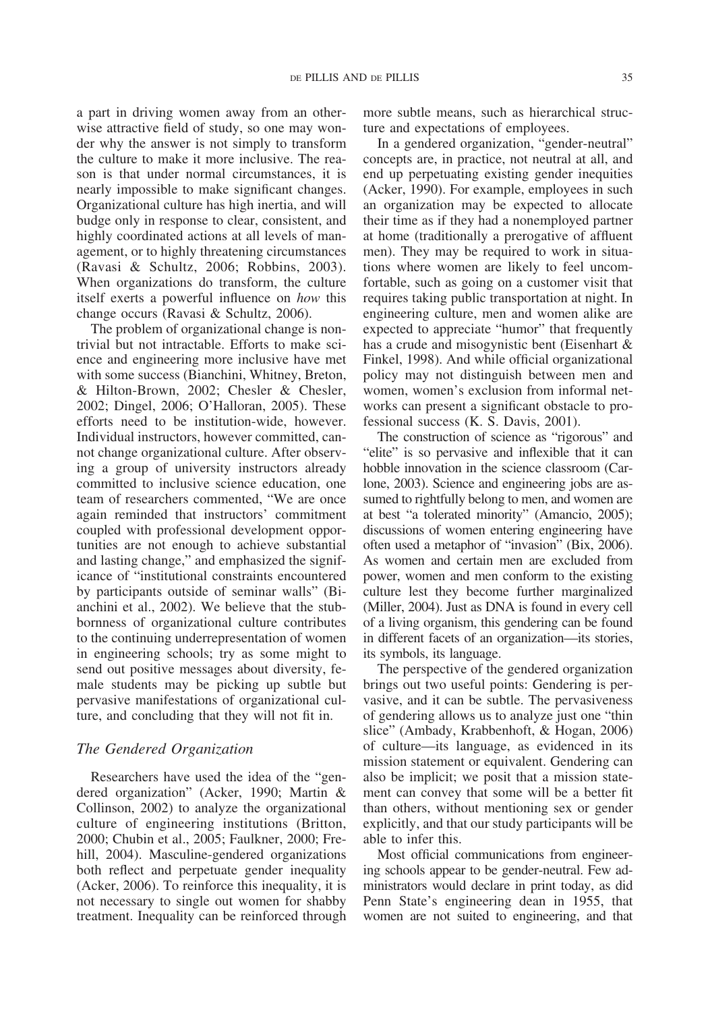a part in driving women away from an otherwise attractive field of study, so one may wonder why the answer is not simply to transform the culture to make it more inclusive. The reason is that under normal circumstances, it is nearly impossible to make significant changes. Organizational culture has high inertia, and will budge only in response to clear, consistent, and highly coordinated actions at all levels of management, or to highly threatening circumstances (Ravasi & Schultz, 2006; Robbins, 2003). When organizations do transform, the culture itself exerts a powerful influence on *how* this change occurs (Ravasi & Schultz, 2006).

The problem of organizational change is nontrivial but not intractable. Efforts to make science and engineering more inclusive have met with some success (Bianchini, Whitney, Breton, & Hilton-Brown, 2002; Chesler & Chesler, 2002; Dingel, 2006; O'Halloran, 2005). These efforts need to be institution-wide, however. Individual instructors, however committed, cannot change organizational culture. After observing a group of university instructors already committed to inclusive science education, one team of researchers commented, "We are once again reminded that instructors' commitment coupled with professional development opportunities are not enough to achieve substantial and lasting change," and emphasized the significance of "institutional constraints encountered by participants outside of seminar walls" (Bianchini et al., 2002). We believe that the stubbornness of organizational culture contributes to the continuing underrepresentation of women in engineering schools; try as some might to send out positive messages about diversity, female students may be picking up subtle but pervasive manifestations of organizational culture, and concluding that they will not fit in.

## *The Gendered Organization*

Researchers have used the idea of the "gendered organization" (Acker, 1990; Martin & Collinson, 2002) to analyze the organizational culture of engineering institutions (Britton, 2000; Chubin et al., 2005; Faulkner, 2000; Frehill, 2004). Masculine-gendered organizations both reflect and perpetuate gender inequality (Acker, 2006). To reinforce this inequality, it is not necessary to single out women for shabby treatment. Inequality can be reinforced through

more subtle means, such as hierarchical structure and expectations of employees.

In a gendered organization, "gender-neutral" concepts are, in practice, not neutral at all, and end up perpetuating existing gender inequities (Acker, 1990). For example, employees in such an organization may be expected to allocate their time as if they had a nonemployed partner at home (traditionally a prerogative of affluent men). They may be required to work in situations where women are likely to feel uncomfortable, such as going on a customer visit that requires taking public transportation at night. In engineering culture, men and women alike are expected to appreciate "humor" that frequently has a crude and misogynistic bent (Eisenhart & Finkel, 1998). And while official organizational policy may not distinguish between men and women, women's exclusion from informal networks can present a significant obstacle to professional success (K. S. Davis, 2001).

The construction of science as "rigorous" and "elite" is so pervasive and inflexible that it can hobble innovation in the science classroom (Carlone, 2003). Science and engineering jobs are assumed to rightfully belong to men, and women are at best "a tolerated minority" (Amancio, 2005); discussions of women entering engineering have often used a metaphor of "invasion" (Bix, 2006). As women and certain men are excluded from power, women and men conform to the existing culture lest they become further marginalized (Miller, 2004). Just as DNA is found in every cell of a living organism, this gendering can be found in different facets of an organization—its stories, its symbols, its language.

The perspective of the gendered organization brings out two useful points: Gendering is pervasive, and it can be subtle. The pervasiveness of gendering allows us to analyze just one "thin slice" (Ambady, Krabbenhoft, & Hogan, 2006) of culture—its language, as evidenced in its mission statement or equivalent. Gendering can also be implicit; we posit that a mission statement can convey that some will be a better fit than others, without mentioning sex or gender explicitly, and that our study participants will be able to infer this.

Most official communications from engineering schools appear to be gender-neutral. Few administrators would declare in print today, as did Penn State's engineering dean in 1955, that women are not suited to engineering, and that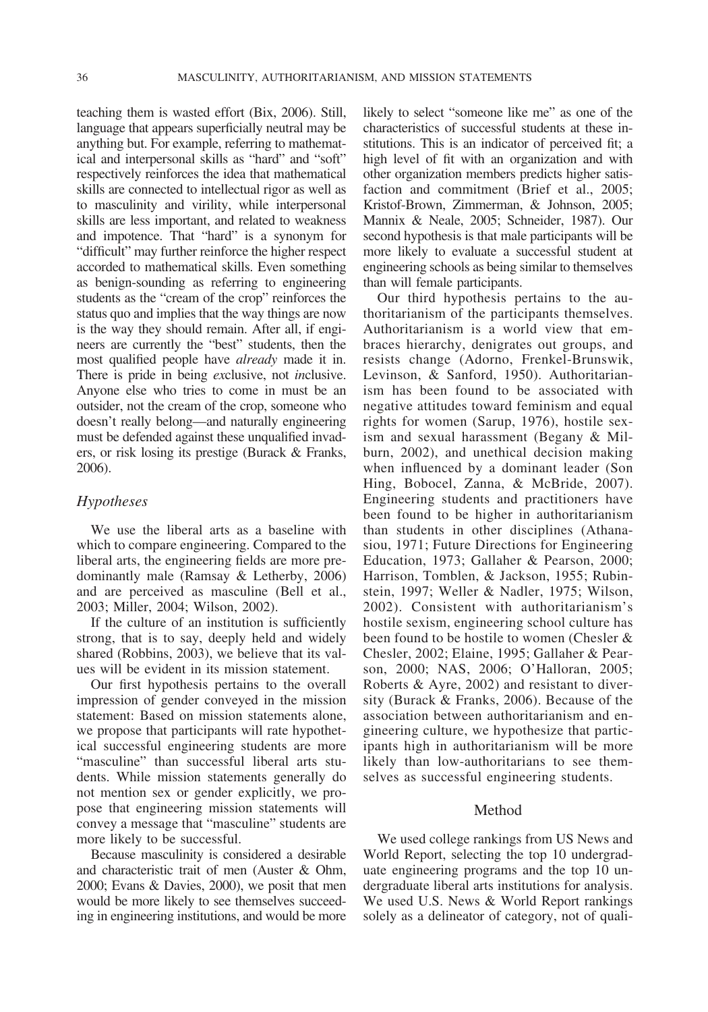teaching them is wasted effort (Bix, 2006). Still, language that appears superficially neutral may be anything but. For example, referring to mathematical and interpersonal skills as "hard" and "soft" respectively reinforces the idea that mathematical skills are connected to intellectual rigor as well as to masculinity and virility, while interpersonal skills are less important, and related to weakness and impotence. That "hard" is a synonym for "difficult" may further reinforce the higher respect accorded to mathematical skills. Even something as benign-sounding as referring to engineering students as the "cream of the crop" reinforces the status quo and implies that the way things are now is the way they should remain. After all, if engineers are currently the "best" students, then the most qualified people have *already* made it in. There is pride in being *ex*clusive, not *in*clusive. Anyone else who tries to come in must be an outsider, not the cream of the crop, someone who doesn't really belong—and naturally engineering must be defended against these unqualified invaders, or risk losing its prestige (Burack & Franks, 2006).

## *Hypotheses*

We use the liberal arts as a baseline with which to compare engineering. Compared to the liberal arts, the engineering fields are more predominantly male (Ramsay & Letherby, 2006) and are perceived as masculine (Bell et al., 2003; Miller, 2004; Wilson, 2002).

If the culture of an institution is sufficiently strong, that is to say, deeply held and widely shared (Robbins, 2003), we believe that its values will be evident in its mission statement.

Our first hypothesis pertains to the overall impression of gender conveyed in the mission statement: Based on mission statements alone, we propose that participants will rate hypothetical successful engineering students are more "masculine" than successful liberal arts students. While mission statements generally do not mention sex or gender explicitly, we propose that engineering mission statements will convey a message that "masculine" students are more likely to be successful.

Because masculinity is considered a desirable and characteristic trait of men (Auster & Ohm, 2000; Evans & Davies, 2000), we posit that men would be more likely to see themselves succeeding in engineering institutions, and would be more

likely to select "someone like me" as one of the characteristics of successful students at these institutions. This is an indicator of perceived fit; a high level of fit with an organization and with other organization members predicts higher satisfaction and commitment (Brief et al., 2005; Kristof-Brown, Zimmerman, & Johnson, 2005; Mannix & Neale, 2005; Schneider, 1987). Our second hypothesis is that male participants will be more likely to evaluate a successful student at engineering schools as being similar to themselves than will female participants.

Our third hypothesis pertains to the authoritarianism of the participants themselves. Authoritarianism is a world view that embraces hierarchy, denigrates out groups, and resists change (Adorno, Frenkel-Brunswik, Levinson, & Sanford, 1950). Authoritarianism has been found to be associated with negative attitudes toward feminism and equal rights for women (Sarup, 1976), hostile sexism and sexual harassment (Begany & Milburn, 2002), and unethical decision making when influenced by a dominant leader (Son Hing, Bobocel, Zanna, & McBride, 2007). Engineering students and practitioners have been found to be higher in authoritarianism than students in other disciplines (Athanasiou, 1971; Future Directions for Engineering Education, 1973; Gallaher & Pearson, 2000; Harrison, Tomblen, & Jackson, 1955; Rubinstein, 1997; Weller & Nadler, 1975; Wilson, 2002). Consistent with authoritarianism's hostile sexism, engineering school culture has been found to be hostile to women (Chesler & Chesler, 2002; Elaine, 1995; Gallaher & Pearson, 2000; NAS, 2006; O'Halloran, 2005; Roberts & Ayre, 2002) and resistant to diversity (Burack & Franks, 2006). Because of the association between authoritarianism and engineering culture, we hypothesize that participants high in authoritarianism will be more likely than low-authoritarians to see themselves as successful engineering students.

#### Method

We used college rankings from US News and World Report, selecting the top 10 undergraduate engineering programs and the top 10 undergraduate liberal arts institutions for analysis. We used U.S. News & World Report rankings solely as a delineator of category, not of quali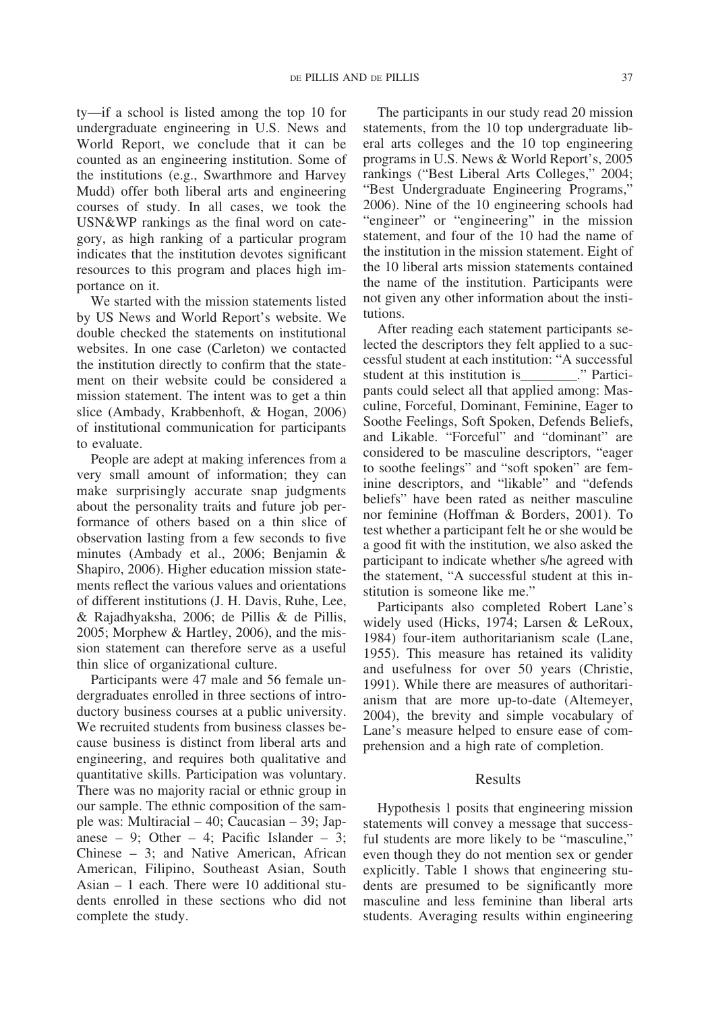ty—if a school is listed among the top 10 for undergraduate engineering in U.S. News and World Report, we conclude that it can be counted as an engineering institution. Some of the institutions (e.g., Swarthmore and Harvey Mudd) offer both liberal arts and engineering courses of study. In all cases, we took the USN&WP rankings as the final word on category, as high ranking of a particular program indicates that the institution devotes significant resources to this program and places high importance on it.

We started with the mission statements listed by US News and World Report's website. We double checked the statements on institutional websites. In one case (Carleton) we contacted the institution directly to confirm that the statement on their website could be considered a mission statement. The intent was to get a thin slice (Ambady, Krabbenhoft, & Hogan, 2006) of institutional communication for participants to evaluate.

People are adept at making inferences from a very small amount of information; they can make surprisingly accurate snap judgments about the personality traits and future job performance of others based on a thin slice of observation lasting from a few seconds to five minutes (Ambady et al., 2006; Benjamin & Shapiro, 2006). Higher education mission statements reflect the various values and orientations of different institutions (J. H. Davis, Ruhe, Lee, & Rajadhyaksha, 2006; de Pillis & de Pillis, 2005; Morphew & Hartley, 2006), and the mission statement can therefore serve as a useful thin slice of organizational culture.

Participants were 47 male and 56 female undergraduates enrolled in three sections of introductory business courses at a public university. We recruited students from business classes because business is distinct from liberal arts and engineering, and requires both qualitative and quantitative skills. Participation was voluntary. There was no majority racial or ethnic group in our sample. The ethnic composition of the sample was: Multiracial – 40; Caucasian – 39; Japanese – 9; Other – 4; Pacific Islander – 3; Chinese – 3; and Native American, African American, Filipino, Southeast Asian, South Asian – 1 each. There were 10 additional students enrolled in these sections who did not complete the study.

The participants in our study read 20 mission statements, from the 10 top undergraduate liberal arts colleges and the 10 top engineering programs in U.S. News & World Report's, 2005 rankings ("Best Liberal Arts Colleges," 2004; "Best Undergraduate Engineering Programs," 2006). Nine of the 10 engineering schools had "engineer" or "engineering" in the mission statement, and four of the 10 had the name of the institution in the mission statement. Eight of the 10 liberal arts mission statements contained the name of the institution. Participants were not given any other information about the institutions.

After reading each statement participants selected the descriptors they felt applied to a successful student at each institution: "A successful student at this institution is\_\_\_\_\_\_\_\_." Participants could select all that applied among: Masculine, Forceful, Dominant, Feminine, Eager to Soothe Feelings, Soft Spoken, Defends Beliefs, and Likable. "Forceful" and "dominant" are considered to be masculine descriptors, "eager to soothe feelings" and "soft spoken" are feminine descriptors, and "likable" and "defends beliefs" have been rated as neither masculine nor feminine (Hoffman & Borders, 2001). To test whether a participant felt he or she would be a good fit with the institution, we also asked the participant to indicate whether s/he agreed with the statement, "A successful student at this institution is someone like me."

Participants also completed Robert Lane's widely used (Hicks, 1974; Larsen & LeRoux, 1984) four-item authoritarianism scale (Lane, 1955). This measure has retained its validity and usefulness for over 50 years (Christie, 1991). While there are measures of authoritarianism that are more up-to-date (Altemeyer, 2004), the brevity and simple vocabulary of Lane's measure helped to ensure ease of comprehension and a high rate of completion.

## Results

Hypothesis 1 posits that engineering mission statements will convey a message that successful students are more likely to be "masculine," even though they do not mention sex or gender explicitly. Table 1 shows that engineering students are presumed to be significantly more masculine and less feminine than liberal arts students. Averaging results within engineering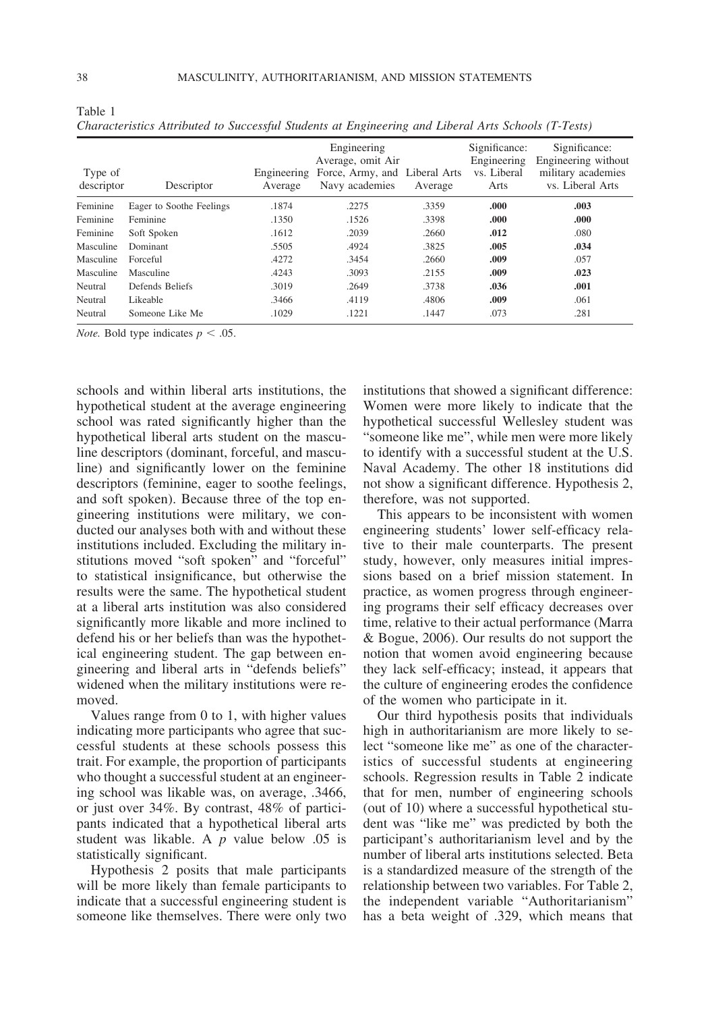| Type of<br>descriptor | Descriptor               | Engineering<br>Average | Engineering<br>Average, omit Air<br>Force, Army, and Liberal Arts<br>Navy academies | Average | Significance:<br>Engineering<br>vs. Liberal<br>Arts | Significance:<br>Engineering without<br>military academies<br>vs. Liberal Arts |
|-----------------------|--------------------------|------------------------|-------------------------------------------------------------------------------------|---------|-----------------------------------------------------|--------------------------------------------------------------------------------|
| Feminine              | Eager to Soothe Feelings | .1874                  | .2275                                                                               | .3359   | .000                                                | .003                                                                           |
| Feminine              | Feminine                 | .1350                  | .1526                                                                               | .3398   | .000                                                | .000                                                                           |
| Feminine              | Soft Spoken              | .1612                  | .2039                                                                               | .2660   | .012                                                | .080                                                                           |
| Masculine             | Dominant                 | .5505                  | .4924                                                                               | .3825   | .005                                                | .034                                                                           |
| Masculine             | Forceful                 | .4272                  | .3454                                                                               | .2660   | .009                                                | .057                                                                           |
| Masculine             | Masculine                | .4243                  | .3093                                                                               | .2155   | .009                                                | .023                                                                           |
| Neutral               | Defends Beliefs          | .3019                  | .2649                                                                               | .3738   | .036                                                | .001                                                                           |
| Neutral               | Likeable                 | .3466                  | .4119                                                                               | .4806   | .009                                                | .061                                                                           |
| Neutral               | Someone Like Me          | .1029                  | .1221                                                                               | .1447   | .073                                                | .281                                                                           |
|                       |                          |                        |                                                                                     |         |                                                     |                                                                                |

*Characteristics Attributed to Successful Students at Engineering and Liberal Arts Schools (T-Tests)*

*Note.* Bold type indicates  $p < .05$ .

schools and within liberal arts institutions, the hypothetical student at the average engineering school was rated significantly higher than the hypothetical liberal arts student on the masculine descriptors (dominant, forceful, and masculine) and significantly lower on the feminine descriptors (feminine, eager to soothe feelings, and soft spoken). Because three of the top engineering institutions were military, we conducted our analyses both with and without these institutions included. Excluding the military institutions moved "soft spoken" and "forceful" to statistical insignificance, but otherwise the results were the same. The hypothetical student at a liberal arts institution was also considered significantly more likable and more inclined to defend his or her beliefs than was the hypothetical engineering student. The gap between engineering and liberal arts in "defends beliefs" widened when the military institutions were removed.

Values range from 0 to 1, with higher values indicating more participants who agree that successful students at these schools possess this trait. For example, the proportion of participants who thought a successful student at an engineering school was likable was, on average, .3466, or just over 34%. By contrast, 48% of participants indicated that a hypothetical liberal arts student was likable. A *p* value below .05 is statistically significant.

Hypothesis 2 posits that male participants will be more likely than female participants to indicate that a successful engineering student is someone like themselves. There were only two

institutions that showed a significant difference: Women were more likely to indicate that the hypothetical successful Wellesley student was "someone like me", while men were more likely to identify with a successful student at the U.S. Naval Academy. The other 18 institutions did not show a significant difference. Hypothesis 2, therefore, was not supported.

This appears to be inconsistent with women engineering students' lower self-efficacy relative to their male counterparts. The present study, however, only measures initial impressions based on a brief mission statement. In practice, as women progress through engineering programs their self efficacy decreases over time, relative to their actual performance (Marra & Bogue, 2006). Our results do not support the notion that women avoid engineering because they lack self-efficacy; instead, it appears that the culture of engineering erodes the confidence of the women who participate in it.

Our third hypothesis posits that individuals high in authoritarianism are more likely to select "someone like me" as one of the characteristics of successful students at engineering schools. Regression results in Table 2 indicate that for men, number of engineering schools (out of 10) where a successful hypothetical student was "like me" was predicted by both the participant's authoritarianism level and by the number of liberal arts institutions selected. Beta is a standardized measure of the strength of the relationship between two variables. For Table 2, the independent variable "Authoritarianism" has a beta weight of .329, which means that

Table 1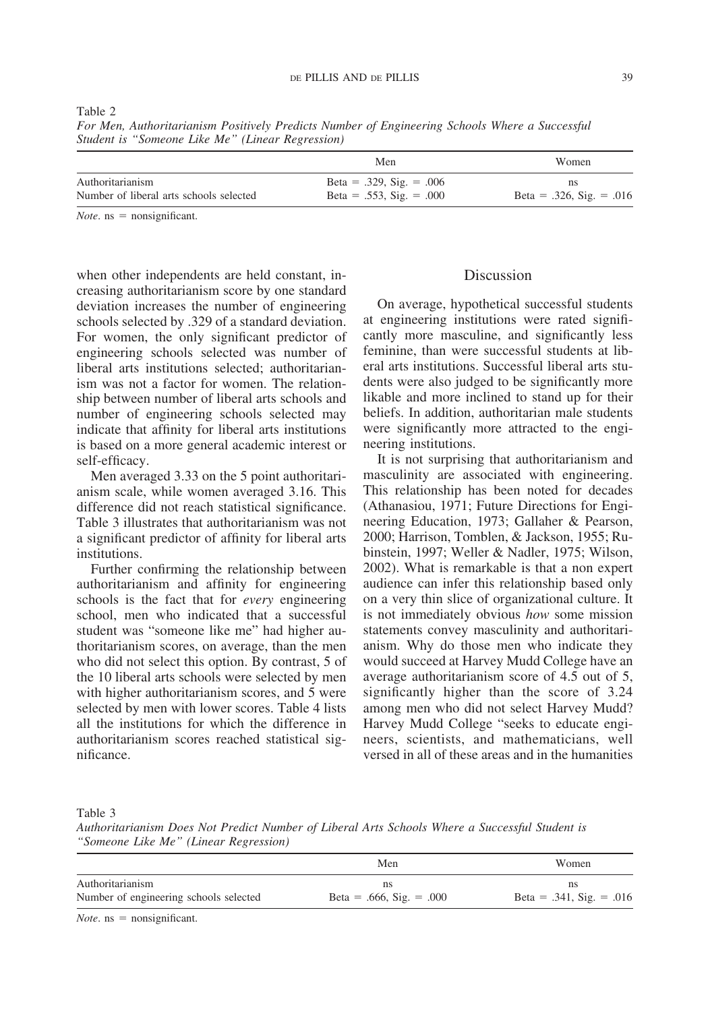|  | × |  |
|--|---|--|
|  |   |  |

*Student is "Someone Like Me" (Linear Regression)* Men Women

|                                         | Men                      | Women                         |  |  |
|-----------------------------------------|--------------------------|-------------------------------|--|--|
| Authoritarianism                        | Beta = .329, Sig. = .006 |                               |  |  |
| Number of liberal arts schools selected | Beta = .553, Sig. = .000 | Beta = $.326$ , Sig. = $.016$ |  |  |

*For Men, Authoritarianism Positively Predicts Number of Engineering Schools Where a Successful*

 $Note. ms = nonsignificant.$ 

when other independents are held constant, increasing authoritarianism score by one standard deviation increases the number of engineering schools selected by .329 of a standard deviation. For women, the only significant predictor of engineering schools selected was number of liberal arts institutions selected; authoritarianism was not a factor for women. The relationship between number of liberal arts schools and number of engineering schools selected may indicate that affinity for liberal arts institutions is based on a more general academic interest or self-efficacy.

Men averaged 3.33 on the 5 point authoritarianism scale, while women averaged 3.16. This difference did not reach statistical significance. Table 3 illustrates that authoritarianism was not a significant predictor of affinity for liberal arts institutions.

Further confirming the relationship between authoritarianism and affinity for engineering schools is the fact that for *every* engineering school, men who indicated that a successful student was "someone like me" had higher authoritarianism scores, on average, than the men who did not select this option. By contrast, 5 of the 10 liberal arts schools were selected by men with higher authoritarianism scores, and 5 were selected by men with lower scores. Table 4 lists all the institutions for which the difference in authoritarianism scores reached statistical significance.

# Discussion

On average, hypothetical successful students at engineering institutions were rated significantly more masculine, and significantly less feminine, than were successful students at liberal arts institutions. Successful liberal arts students were also judged to be significantly more likable and more inclined to stand up for their beliefs. In addition, authoritarian male students were significantly more attracted to the engineering institutions.

It is not surprising that authoritarianism and masculinity are associated with engineering. This relationship has been noted for decades (Athanasiou, 1971; Future Directions for Engineering Education, 1973; Gallaher & Pearson, 2000; Harrison, Tomblen, & Jackson, 1955; Rubinstein, 1997; Weller & Nadler, 1975; Wilson, 2002). What is remarkable is that a non expert audience can infer this relationship based only on a very thin slice of organizational culture. It is not immediately obvious *how* some mission statements convey masculinity and authoritarianism. Why do those men who indicate they would succeed at Harvey Mudd College have an average authoritarianism score of 4.5 out of 5, significantly higher than the score of 3.24 among men who did not select Harvey Mudd? Harvey Mudd College "seeks to educate engineers, scientists, and mathematicians, well versed in all of these areas and in the humanities

Table 3

*Authoritarianism Does Not Predict Number of Liberal Arts Schools Where a Successful Student is "Someone Like Me" (Linear Regression)*

|                                        | Men                      | <b>Women</b>                  |  |  |
|----------------------------------------|--------------------------|-------------------------------|--|--|
| Authoritarianism                       | ns                       | ns                            |  |  |
| Number of engineering schools selected | Beta = .666, Sig. = .000 | Beta = $.341$ , Sig. = $.016$ |  |  |
| $ -$                                   |                          |                               |  |  |

 $Note. ms = nonsignificant.$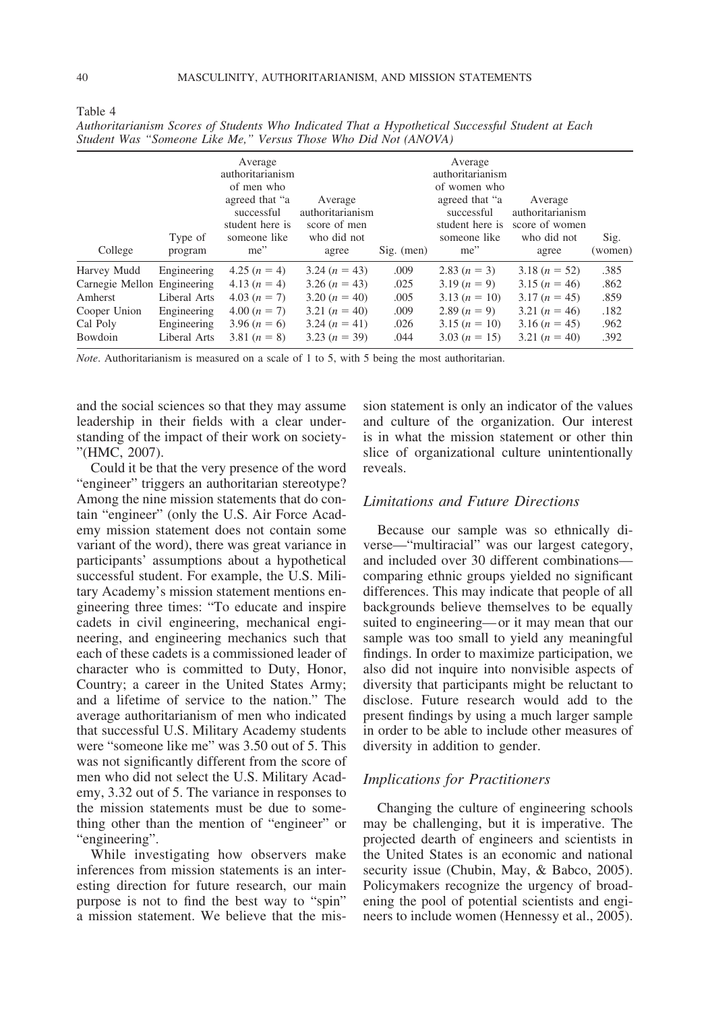| College                     | Type of<br>program | Average<br>authoritarianism<br>of men who<br>agreed that "a<br>successful<br>student here is<br>someone like<br>me" | Average<br>authoritarianism<br>score of men<br>who did not<br>agree | $Sig.$ (men) | Average<br>authoritarianism<br>of women who<br>agreed that "a<br>successful<br>student here is<br>someone like<br>me" | Average<br>authoritarianism<br>score of women<br>who did not<br>agree | Sig.<br>(women) |
|-----------------------------|--------------------|---------------------------------------------------------------------------------------------------------------------|---------------------------------------------------------------------|--------------|-----------------------------------------------------------------------------------------------------------------------|-----------------------------------------------------------------------|-----------------|
| Harvey Mudd                 | Engineering        | $4.25 (n = 4)$                                                                                                      | $3.24 (n = 43)$                                                     | .009         | 2.83 $(n = 3)$                                                                                                        | $3.18 (n = 52)$                                                       | .385            |
| Carnegie Mellon Engineering |                    | $4.13(n=4)$                                                                                                         | $3.26 (n = 43)$                                                     | .025         | $3.19 (n = 9)$                                                                                                        | $3.15(n = 46)$                                                        | .862            |
| Amherst                     | Liberal Arts       | $4.03(n = 7)$                                                                                                       | $3.20 (n = 40)$                                                     | .005         | $3.13(n = 10)$                                                                                                        | $3.17(n = 45)$                                                        | .859            |
| Cooper Union                | Engineering        | $4.00(n = 7)$                                                                                                       | 3.21 $(n = 40)$                                                     | .009         | 2.89 $(n = 9)$                                                                                                        | 3.21 $(n = 46)$                                                       | .182            |
| Cal Poly                    | Engineering        | $3.96 (n = 6)$                                                                                                      | $3.24 (n = 41)$                                                     | .026         | $3.15 (n = 10)$                                                                                                       | $3.16 (n = 45)$                                                       | .962            |
| Bowdoin                     | Liberal Arts       | 3.81 $(n = 8)$                                                                                                      | $3.23(n = 39)$                                                      | .044         | $3.03(n = 15)$                                                                                                        | 3.21 $(n = 40)$                                                       | .392            |

| Authoritarianism Scores of Students Who Indicated That a Hypothetical Successful Student at Each |  |  |  |  |
|--------------------------------------------------------------------------------------------------|--|--|--|--|
| Student Was "Someone Like Me," Versus Those Who Did Not (ANOVA)                                  |  |  |  |  |

*Note*. Authoritarianism is measured on a scale of 1 to 5, with 5 being the most authoritarian.

and the social sciences so that they may assume leadership in their fields with a clear understanding of the impact of their work on society- "(HMC, 2007).

Could it be that the very presence of the word "engineer" triggers an authoritarian stereotype? Among the nine mission statements that do contain "engineer" (only the U.S. Air Force Academy mission statement does not contain some variant of the word), there was great variance in participants' assumptions about a hypothetical successful student. For example, the U.S. Military Academy's mission statement mentions engineering three times: "To educate and inspire cadets in civil engineering, mechanical engineering, and engineering mechanics such that each of these cadets is a commissioned leader of character who is committed to Duty, Honor, Country; a career in the United States Army; and a lifetime of service to the nation." The average authoritarianism of men who indicated that successful U.S. Military Academy students were "someone like me" was 3.50 out of 5. This was not significantly different from the score of men who did not select the U.S. Military Academy, 3.32 out of 5. The variance in responses to the mission statements must be due to something other than the mention of "engineer" or "engineering".

While investigating how observers make inferences from mission statements is an interesting direction for future research, our main purpose is not to find the best way to "spin" a mission statement. We believe that the mission statement is only an indicator of the values and culture of the organization. Our interest is in what the mission statement or other thin slice of organizational culture unintentionally reveals.

# *Limitations and Future Directions*

Because our sample was so ethnically diverse—"multiracial" was our largest category, and included over 30 different combinations comparing ethnic groups yielded no significant differences. This may indicate that people of all backgrounds believe themselves to be equally suited to engineering— or it may mean that our sample was too small to yield any meaningful findings. In order to maximize participation, we also did not inquire into nonvisible aspects of diversity that participants might be reluctant to disclose. Future research would add to the present findings by using a much larger sample in order to be able to include other measures of diversity in addition to gender.

## *Implications for Practitioners*

Changing the culture of engineering schools may be challenging, but it is imperative. The projected dearth of engineers and scientists in the United States is an economic and national security issue (Chubin, May, & Babco, 2005). Policymakers recognize the urgency of broadening the pool of potential scientists and engineers to include women (Hennessy et al., 2005).

Table 4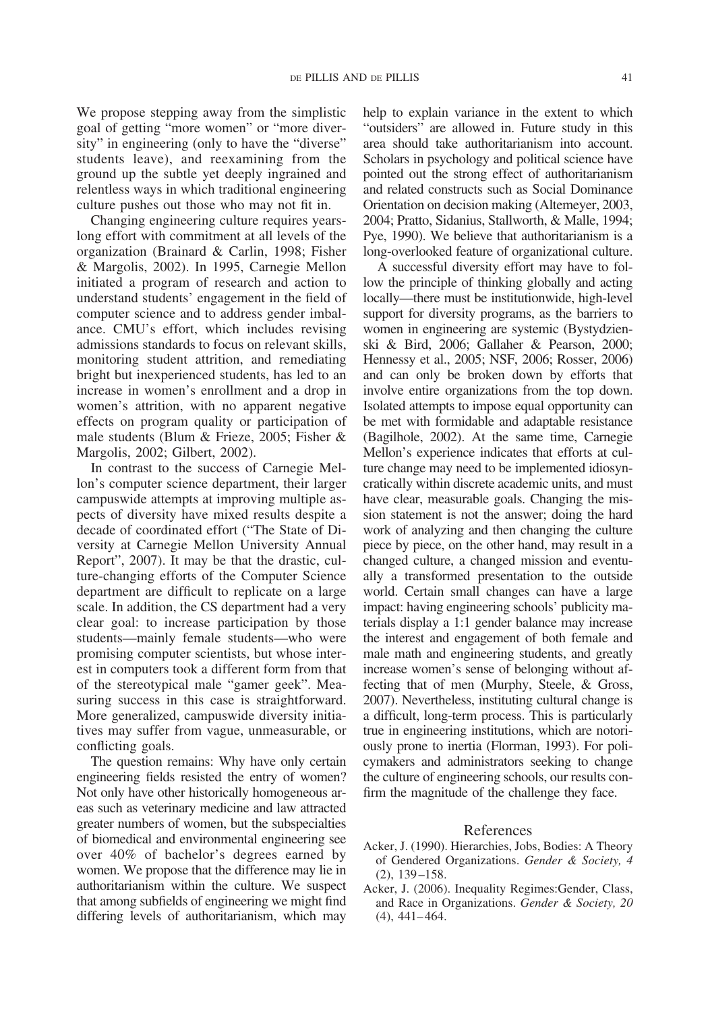We propose stepping away from the simplistic goal of getting "more women" or "more diversity" in engineering (only to have the "diverse" students leave), and reexamining from the ground up the subtle yet deeply ingrained and relentless ways in which traditional engineering culture pushes out those who may not fit in.

Changing engineering culture requires yearslong effort with commitment at all levels of the organization (Brainard & Carlin, 1998; Fisher & Margolis, 2002). In 1995, Carnegie Mellon initiated a program of research and action to understand students' engagement in the field of computer science and to address gender imbalance. CMU's effort, which includes revising admissions standards to focus on relevant skills, monitoring student attrition, and remediating bright but inexperienced students, has led to an increase in women's enrollment and a drop in women's attrition, with no apparent negative effects on program quality or participation of male students (Blum & Frieze, 2005; Fisher & Margolis, 2002; Gilbert, 2002).

In contrast to the success of Carnegie Mellon's computer science department, their larger campuswide attempts at improving multiple aspects of diversity have mixed results despite a decade of coordinated effort ("The State of Diversity at Carnegie Mellon University Annual Report", 2007). It may be that the drastic, culture-changing efforts of the Computer Science department are difficult to replicate on a large scale. In addition, the CS department had a very clear goal: to increase participation by those students—mainly female students—who were promising computer scientists, but whose interest in computers took a different form from that of the stereotypical male "gamer geek". Measuring success in this case is straightforward. More generalized, campuswide diversity initiatives may suffer from vague, unmeasurable, or conflicting goals.

The question remains: Why have only certain engineering fields resisted the entry of women? Not only have other historically homogeneous areas such as veterinary medicine and law attracted greater numbers of women, but the subspecialties of biomedical and environmental engineering see over 40% of bachelor's degrees earned by women. We propose that the difference may lie in authoritarianism within the culture. We suspect that among subfields of engineering we might find differing levels of authoritarianism, which may

help to explain variance in the extent to which "outsiders" are allowed in. Future study in this area should take authoritarianism into account. Scholars in psychology and political science have pointed out the strong effect of authoritarianism and related constructs such as Social Dominance Orientation on decision making (Altemeyer, 2003, 2004; Pratto, Sidanius, Stallworth, & Malle, 1994; Pye, 1990). We believe that authoritarianism is a long-overlooked feature of organizational culture.

A successful diversity effort may have to follow the principle of thinking globally and acting locally—there must be institutionwide, high-level support for diversity programs, as the barriers to women in engineering are systemic (Bystydzienski & Bird, 2006; Gallaher & Pearson, 2000; Hennessy et al., 2005; NSF, 2006; Rosser, 2006) and can only be broken down by efforts that involve entire organizations from the top down. Isolated attempts to impose equal opportunity can be met with formidable and adaptable resistance (Bagilhole, 2002). At the same time, Carnegie Mellon's experience indicates that efforts at culture change may need to be implemented idiosyncratically within discrete academic units, and must have clear, measurable goals. Changing the mission statement is not the answer; doing the hard work of analyzing and then changing the culture piece by piece, on the other hand, may result in a changed culture, a changed mission and eventually a transformed presentation to the outside world. Certain small changes can have a large impact: having engineering schools' publicity materials display a 1:1 gender balance may increase the interest and engagement of both female and male math and engineering students, and greatly increase women's sense of belonging without affecting that of men (Murphy, Steele, & Gross, 2007). Nevertheless, instituting cultural change is a difficult, long-term process. This is particularly true in engineering institutions, which are notoriously prone to inertia (Florman, 1993). For policymakers and administrators seeking to change the culture of engineering schools, our results confirm the magnitude of the challenge they face.

#### References

- Acker, J. (1990). Hierarchies, Jobs, Bodies: A Theory of Gendered Organizations. *Gender & Society, 4* (2), 139 –158.
- Acker, J. (2006). Inequality Regimes:Gender, Class, and Race in Organizations. *Gender & Society, 20* (4), 441– 464.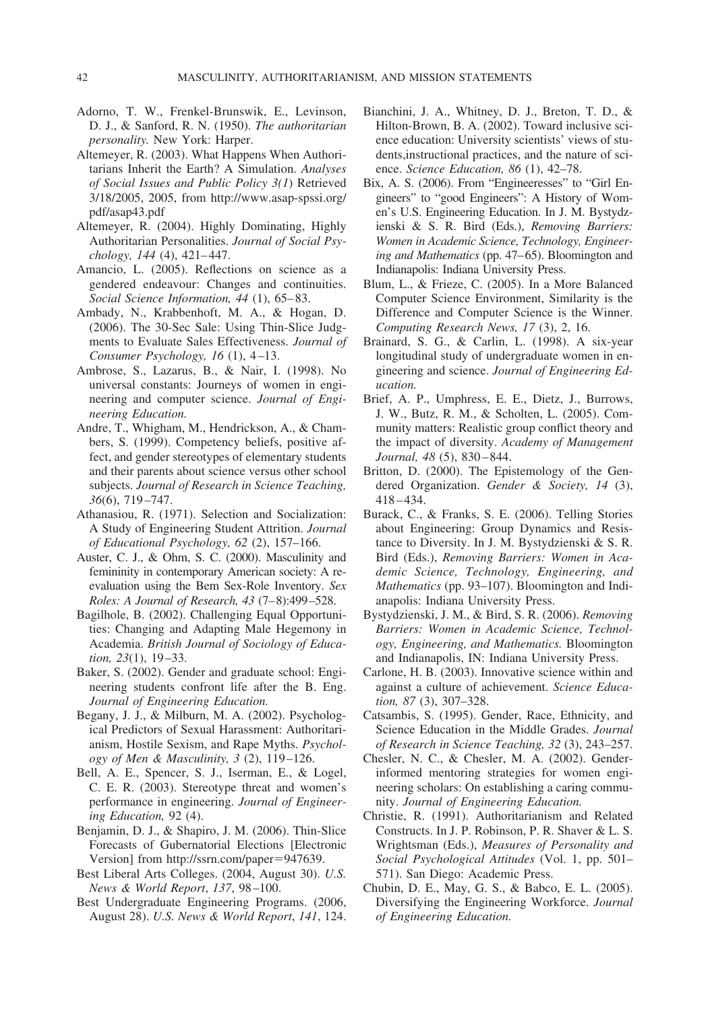- Adorno, T. W., Frenkel-Brunswik, E., Levinson, D. J., & Sanford, R. N. (1950). *The authoritarian personality.* New York: Harper.
- Altemeyer, R. (2003). What Happens When Authoritarians Inherit the Earth? A Simulation. *Analyses of Social Issues and Public Policy 3(1*) Retrieved 3/18/2005, 2005, from http://www.asap-spssi.org/ pdf/asap43.pdf
- Altemeyer, R. (2004). Highly Dominating, Highly Authoritarian Personalities. *Journal of Social Psychology, 144* (4), 421– 447.
- Amancio, L. (2005). Reflections on science as a gendered endeavour: Changes and continuities. *Social Science Information, 44* (1), 65– 83.
- Ambady, N., Krabbenhoft, M. A., & Hogan, D. (2006). The 30-Sec Sale: Using Thin-Slice Judgments to Evaluate Sales Effectiveness. *Journal of Consumer Psychology, 16* (1), 4 –13.
- Ambrose, S., Lazarus, B., & Nair, I. (1998). No universal constants: Journeys of women in engineering and computer science. *Journal of Engineering Education.*
- Andre, T., Whigham, M., Hendrickson, A., & Chambers, S. (1999). Competency beliefs, positive affect, and gender stereotypes of elementary students and their parents about science versus other school subjects. *Journal of Research in Science Teaching, 36*(6), 719 –747.
- Athanasiou, R. (1971). Selection and Socialization: A Study of Engineering Student Attrition. *Journal of Educational Psychology, 62* (2), 157–166.
- Auster, C. J., & Ohm, S. C. (2000). Masculinity and femininity in contemporary American society: A reevaluation using the Bem Sex-Role Inventory. *Sex Roles: A Journal of Research, 43* (7– 8):499 –528.
- Bagilhole, B. (2002). Challenging Equal Opportunities: Changing and Adapting Male Hegemony in Academia. *British Journal of Sociology of Education, 23*(1), 19 –33.
- Baker, S. (2002). Gender and graduate school: Engineering students confront life after the B. Eng. *Journal of Engineering Education.*
- Begany, J. J., & Milburn, M. A. (2002). Psychological Predictors of Sexual Harassment: Authoritarianism, Hostile Sexism, and Rape Myths. *Psychology of Men & Masculinity, 3* (2), 119 –126.
- Bell, A. E., Spencer, S. J., Iserman, E., & Logel, C. E. R. (2003). Stereotype threat and women's performance in engineering. *Journal of Engineering Education,* 92 (4).
- Benjamin, D. J., & Shapiro, J. M. (2006). Thin-Slice Forecasts of Gubernatorial Elections [Electronic Version] from http://ssrn.com/paper=947639.
- Best Liberal Arts Colleges. (2004, August 30). *U.S. News & World Report*, *137*, 98 –100.
- Best Undergraduate Engineering Programs. (2006, August 28). *U.S. News & World Report*, *141*, 124.
- Bianchini, J. A., Whitney, D. J., Breton, T. D., & Hilton-Brown, B. A. (2002). Toward inclusive science education: University scientists' views of students,instructional practices, and the nature of science. *Science Education, 86* (1), 42–78.
- Bix, A. S. (2006). From "Engineeresses" to "Girl Engineers" to "good Engineers": A History of Women's U.S. Engineering Education. In J. M. Bystydzienski & S. R. Bird (Eds.), *Removing Barriers: Women in Academic Science, Technology, Engineer*ing and Mathematics (pp. 47–65). Bloomington and Indianapolis: Indiana University Press.
- Blum, L., & Frieze, C. (2005). In a More Balanced Computer Science Environment, Similarity is the Difference and Computer Science is the Winner. *Computing Research News, 17* (3), 2, 16.
- Brainard, S. G., & Carlin, L. (1998). A six-year longitudinal study of undergraduate women in engineering and science. *Journal of Engineering Education.*
- Brief, A. P., Umphress, E. E., Dietz, J., Burrows, J. W., Butz, R. M., & Scholten, L. (2005). Community matters: Realistic group conflict theory and the impact of diversity. *Academy of Management Journal, 48* (5), 830 – 844.
- Britton, D. (2000). The Epistemology of the Gendered Organization. *Gender & Society, 14* (3), 418 – 434.
- Burack, C., & Franks, S. E. (2006). Telling Stories about Engineering: Group Dynamics and Resistance to Diversity. In J. M. Bystydzienski & S. R. Bird (Eds.), *Removing Barriers: Women in Academic Science, Technology, Engineering, and Mathematics* (pp. 93–107). Bloomington and Indianapolis: Indiana University Press.
- Bystydzienski, J. M., & Bird, S. R. (2006). *Removing Barriers: Women in Academic Science, Technology, Engineering, and Mathematics.* Bloomington and Indianapolis, IN: Indiana University Press.
- Carlone, H. B. (2003). Innovative science within and against a culture of achievement. *Science Education, 87* (3), 307–328.
- Catsambis, S. (1995). Gender, Race, Ethnicity, and Science Education in the Middle Grades. *Journal of Research in Science Teaching, 32* (3), 243–257.
- Chesler, N. C., & Chesler, M. A. (2002). Genderinformed mentoring strategies for women engineering scholars: On establishing a caring community. *Journal of Engineering Education.*
- Christie, R. (1991). Authoritarianism and Related Constructs. In J. P. Robinson, P. R. Shaver & L. S. Wrightsman (Eds.), *Measures of Personality and Social Psychological Attitudes* (Vol. 1, pp. 501– 571). San Diego: Academic Press.
- Chubin, D. E., May, G. S., & Babco, E. L. (2005). Diversifying the Engineering Workforce. *Journal of Engineering Education.*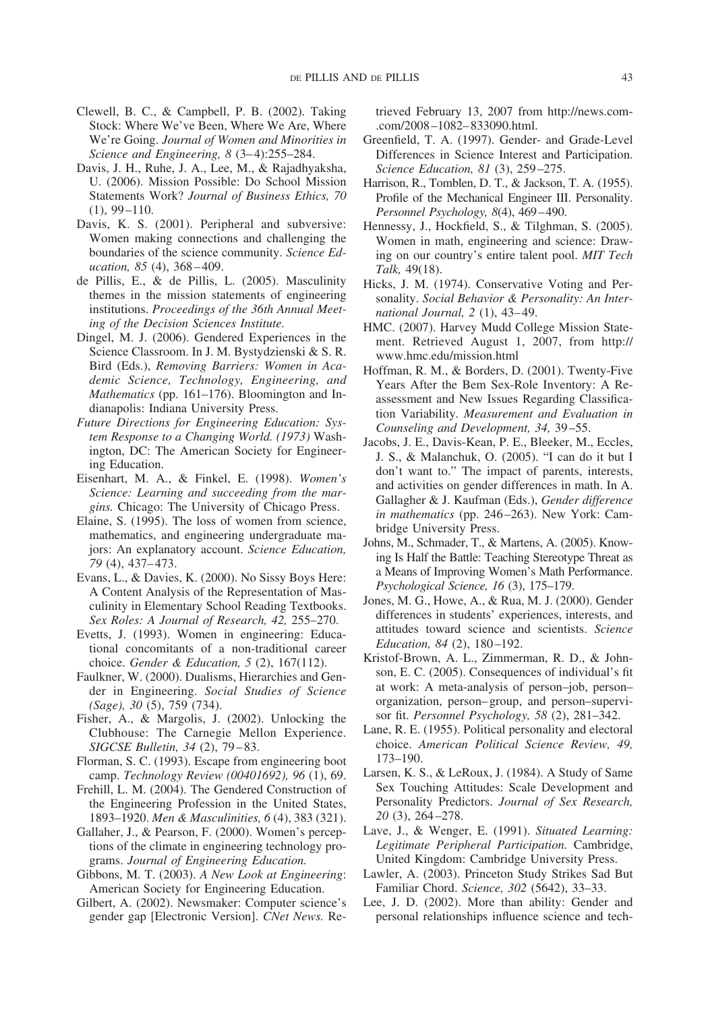- Clewell, B. C., & Campbell, P. B. (2002). Taking Stock: Where We've Been, Where We Are, Where We're Going. *Journal of Women and Minorities in Science and Engineering, 8* (3– 4):255–284.
- Davis, J. H., Ruhe, J. A., Lee, M., & Rajadhyaksha, U. (2006). Mission Possible: Do School Mission Statements Work? *Journal of Business Ethics, 70*  $(1), 99 - 110.$
- Davis, K. S. (2001). Peripheral and subversive: Women making connections and challenging the boundaries of the science community. *Science Education, 85* (4), 368 – 409.
- de Pillis, E., & de Pillis, L. (2005). Masculinity themes in the mission statements of engineering institutions. *Proceedings of the 36th Annual Meeting of the Decision Sciences Institute.*
- Dingel, M. J. (2006). Gendered Experiences in the Science Classroom. In J. M. Bystydzienski & S. R. Bird (Eds.), *Removing Barriers: Women in Academic Science, Technology, Engineering, and Mathematics* (pp. 161–176). Bloomington and Indianapolis: Indiana University Press.
- *Future Directions for Engineering Education: System Response to a Changing World. (1973)* Washington, DC: The American Society for Engineering Education.
- Eisenhart, M. A., & Finkel, E. (1998). *Women's Science: Learning and succeeding from the margins.* Chicago: The University of Chicago Press.
- Elaine, S. (1995). The loss of women from science, mathematics, and engineering undergraduate majors: An explanatory account. *Science Education, 79* (4), 437– 473.
- Evans, L., & Davies, K. (2000). No Sissy Boys Here: A Content Analysis of the Representation of Masculinity in Elementary School Reading Textbooks. *Sex Roles: A Journal of Research, 42,* 255–270.
- Evetts, J. (1993). Women in engineering: Educational concomitants of a non-traditional career choice. *Gender & Education, 5* (2), 167(112).
- Faulkner, W. (2000). Dualisms, Hierarchies and Gender in Engineering. *Social Studies of Science (Sage), 30* (5), 759 (734).
- Fisher, A., & Margolis, J. (2002). Unlocking the Clubhouse: The Carnegie Mellon Experience. *SIGCSE Bulletin, 34* (2), 79 – 83.
- Florman, S. C. (1993). Escape from engineering boot camp. *Technology Review (00401692), 96* (1), 69.
- Frehill, L. M. (2004). The Gendered Construction of the Engineering Profession in the United States, 1893–1920. *Men & Masculinities, 6* (4), 383 (321).
- Gallaher, J., & Pearson, F. (2000). Women's perceptions of the climate in engineering technology programs. *Journal of Engineering Education.*
- Gibbons, M. T. (2003). *A New Look at Engineering*: American Society for Engineering Education.
- Gilbert, A. (2002). Newsmaker: Computer science's gender gap [Electronic Version]. *CNet News.* Re-

trieved February 13, 2007 from http://news.com- .com/2008 –1082– 833090.html.

- Greenfield, T. A. (1997). Gender- and Grade-Level Differences in Science Interest and Participation. *Science Education, 81* (3), 259 –275.
- Harrison, R., Tomblen, D. T., & Jackson, T. A. (1955). Profile of the Mechanical Engineer III. Personality. *Personnel Psychology, 8*(4), 469 – 490.
- Hennessy, J., Hockfield, S., & Tilghman, S. (2005). Women in math, engineering and science: Drawing on our country's entire talent pool. *MIT Tech Talk,* 49(18).
- Hicks, J. M. (1974). Conservative Voting and Personality. *Social Behavior & Personality: An International Journal, 2* (1), 43– 49.
- HMC. (2007). Harvey Mudd College Mission Statement. Retrieved August 1, 2007, from http:// www.hmc.edu/mission.html
- Hoffman, R. M., & Borders, D. (2001). Twenty-Five Years After the Bem Sex-Role Inventory: A Reassessment and New Issues Regarding Classification Variability. *Measurement and Evaluation in Counseling and Development, 34,* 39 –55.
- Jacobs, J. E., Davis-Kean, P. E., Bleeker, M., Eccles, J. S., & Malanchuk, O. (2005). "I can do it but I don't want to." The impact of parents, interests, and activities on gender differences in math. In A. Gallagher & J. Kaufman (Eds.), *Gender difference in mathematics* (pp. 246 –263). New York: Cambridge University Press.
- Johns, M., Schmader, T., & Martens, A. (2005). Knowing Is Half the Battle: Teaching Stereotype Threat as a Means of Improving Women's Math Performance. *Psychological Science, 16* (3), 175–179.
- Jones, M. G., Howe, A., & Rua, M. J. (2000). Gender differences in students' experiences, interests, and attitudes toward science and scientists. *Science Education, 84 (2), 180-192.*
- Kristof-Brown, A. L., Zimmerman, R. D., & Johnson, E. C. (2005). Consequences of individual's fit at work: A meta-analysis of person–job, person– organization, person– group, and person–supervisor fit. *Personnel Psychology, 58* (2), 281–342.
- Lane, R. E. (1955). Political personality and electoral choice. *American Political Science Review, 49,* 173–190.
- Larsen, K. S., & LeRoux, J. (1984). A Study of Same Sex Touching Attitudes: Scale Development and Personality Predictors. *Journal of Sex Research, 20* (3), 264 –278.
- Lave, J., & Wenger, E. (1991). *Situated Learning: Legitimate Peripheral Participation.* Cambridge, United Kingdom: Cambridge University Press.
- Lawler, A. (2003). Princeton Study Strikes Sad But Familiar Chord. *Science, 302* (5642), 33–33.
- Lee, J. D. (2002). More than ability: Gender and personal relationships influence science and tech-